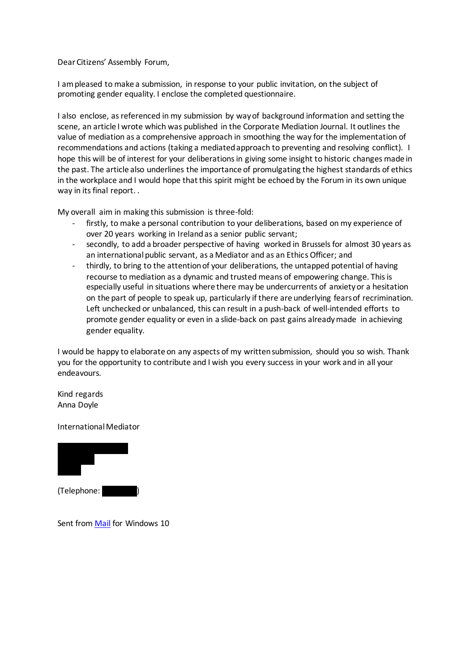#### Dear Citizens' Assembly Forum,

I am pleased to make a submission, in response to your public invitation, on the subject of promoting gender equality. I enclose the completed questionnaire.

I also enclose, as referenced in my submission by way of background information and setting the scene, an article I wrote which was published in the Corporate Mediation Journal. It outlines the value of mediation as a comprehensive approach in smoothing the way for the implementation of recommendations and actions (taking a mediated approach to preventing and resolving conflict). I hope this will be of interest for your deliberations in giving some insight to historic changes made in the past. The article also underlines the importance of promulgating the highest standards of ethics in the workplace and I would hope that this spirit might be echoed by the Forum in its own unique way in its final report. .

My overall aim in making this submission is three-fold:

- firstly, to make a personal contribution to your deliberations, based on my experience of over 20 years working in Ireland as a senior public servant;
- secondly, to add a broader perspective of having worked in Brussels for almost 30 years as an international public servant, as a Mediator and as an Ethics Officer; and
- thirdly, to bring to the attention of your deliberations, the untapped potential of having recourse to mediation as a dynamic and trusted means of empowering change. This is especially useful in situations where there may be undercurrents of anxiety or a hesitation on the part of people to speak up, particularly if there are underlying fears of recrimination. Left unchecked or unbalanced, this can result in a push-back of well-intended efforts to promote gender equality or even in a slide-back on past gains already made in achieving gender equality.

I would be happy to elaborate on any aspects of my written submission, should you so wish. Thank you for the opportunity to contribute and I wish you every success in your work and in all your endeavours.

Kind regards Anna Doyle

International Mediator



Sent fro[m Mail](https://go.microsoft.com/fwlink/?LinkId=550986) for Windows 10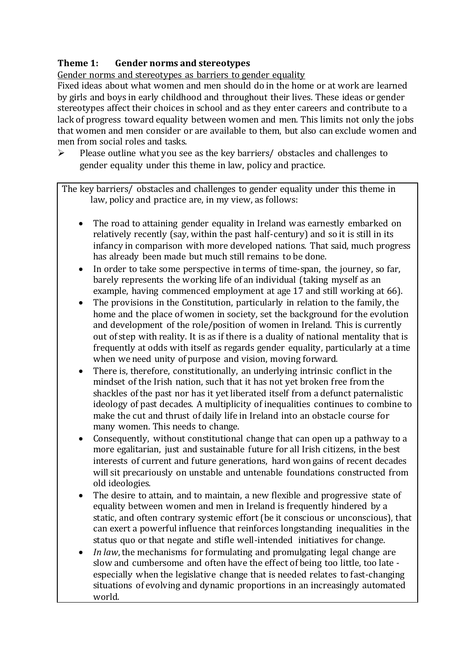#### **Theme 1: Gender norms and stereotypes**

Gender norms and stereotypes as barriers to gender equality

Fixed ideas about what women and men should do in the home or at work are learned by girls and boys in early childhood and throughout their lives. These ideas or gender stereotypes affect their choices in school and as they enter careers and contribute to a lack of progress toward equality between women and men. This limits not only the jobs that women and men consider or are available to them, but also can exclude women and men from social roles and tasks.

 $\triangleright$  Please outline what you see as the key barriers/ obstacles and challenges to gender equality under this theme in law, policy and practice.

The key barriers/ obstacles and challenges to gender equality under this theme in law, policy and practice are, in my view, as follows:

- The road to attaining gender equality in Ireland was earnestly embarked on relatively recently (say, within the past half-century) and so it is still in its infancy in comparison with more developed nations. That said, much progress has already been made but much still remains to be done.
- In order to take some perspective in terms of time-span, the journey, so far, barely represents the working life of an individual (taking myself as an example, having commenced employment at age 17 and still working at 66).
- The provisions in the Constitution, particularly in relation to the family, the home and the place of women in society, set the background for the evolution and development of the role/position of women in Ireland. This is currently out of step with reality. It is as if there is a duality of national mentality that is frequently at odds with itself as regards gender equality, particularly at a time when we need unity of purpose and vision, moving forward.
- There is, therefore, constitutionally, an underlying intrinsic conflict in the mindset of the Irish nation, such that it has not yet broken free from the shackles of the past nor has it yet liberated itself from a defunct paternalistic ideology of past decades. A multiplicity of inequalities continues to combine to make the cut and thrust of daily life in Ireland into an obstacle course for many women. This needs to change.
- Consequently, without constitutional change that can open up a pathway to a more egalitarian, just and sustainable future for all Irish citizens, in the best interests of current and future generations, hard won gains of recent decades will sit precariously on unstable and untenable foundations constructed from old ideologies.
- The desire to attain, and to maintain, a new flexible and progressive state of equality between women and men in Ireland is frequently hindered by a static, and often contrary systemic effort (be it conscious or unconscious), that can exert a powerful influence that reinforces longstanding inequalities in the status quo or that negate and stifle well-intended initiatives for change.
- *In law*, the mechanisms for formulating and promulgating legal change are slow and cumbersome and often have the effect of being too little, too late especially when the legislative change that is needed relates to fast-changing situations of evolving and dynamic proportions in an increasingly automated world.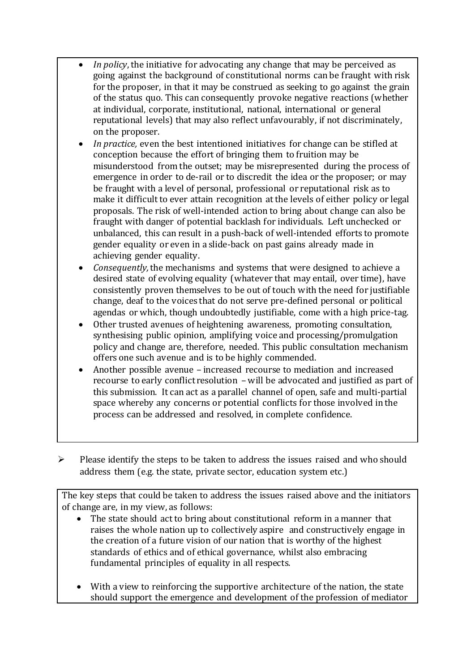- *In policy*, the initiative for advocating any change that may be perceived as going against the background of constitutional norms can be fraught with risk for the proposer, in that it may be construed as seeking to go against the grain of the status quo. This can consequently provoke negative reactions (whether at individual, corporate, institutional, national, international or general reputational levels) that may also reflect unfavourably, if not discriminately, on the proposer.
- *In practice,* even the best intentioned initiatives for change can be stifled at conception because the effort of bringing them to fruition may be misunderstood from the outset; may be misrepresented during the process of emergence in order to de-rail or to discredit the idea or the proposer; or may be fraught with a level of personal, professional or reputational risk as to make it difficult to ever attain recognition at the levels of either policy or legal proposals. The risk of well-intended action to bring about change can also be fraught with danger of potential backlash for individuals. Left unchecked or unbalanced, this can result in a push-back of well-intended efforts to promote gender equality or even in a slide-back on past gains already made in achieving gender equality.
- *Consequently,* the mechanisms and systems that were designed to achieve a desired state of evolving equality (whatever that may entail, over time), have consistently proven themselves to be out of touch with the need for justifiable change, deaf to the voices that do not serve pre-defined personal or political agendas or which, though undoubtedly justifiable, come with a high price-tag.
- Other trusted avenues of heightening awareness, promoting consultation, synthesising public opinion, amplifying voice and processing/promulgation policy and change are, therefore, needed. This public consultation mechanism offers one such avenue and is to be highly commended.
- Another possible avenue increased recourse to mediation and increased recourse to early conflict resolution – will be advocated and justified as part of this submission. It can act as a parallel channel of open, safe and multi-partial space whereby any concerns or potential conflicts for those involved in the process can be addressed and resolved, in complete confidence.
- $\triangleright$  Please identify the steps to be taken to address the issues raised and who should address them (e.g. the state, private sector, education system etc.)

The key steps that could be taken to address the issues raised above and the initiators of change are, in my view, as follows:

- The state should act to bring about constitutional reform in a manner that raises the whole nation up to collectively aspire and constructively engage in the creation of a future vision of our nation that is worthy of the highest standards of ethics and of ethical governance, whilst also embracing fundamental principles of equality in all respects.
- With a view to reinforcing the supportive architecture of the nation, the state should support the emergence and development of the profession of mediator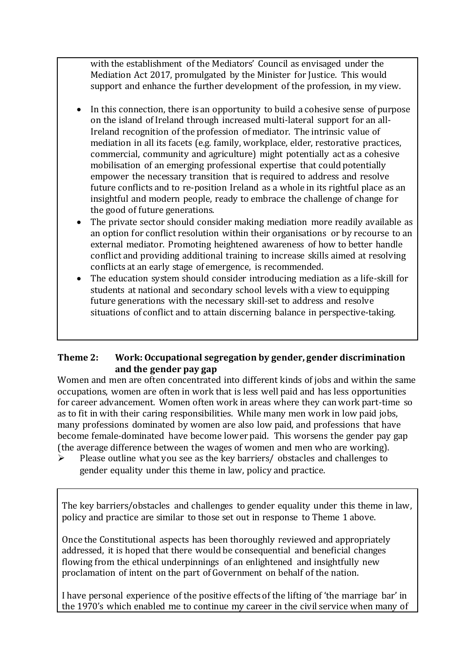with the establishment of the Mediators' Council as envisaged under the Mediation Act 2017, promulgated by the Minister for Justice. This would support and enhance the further development of the profession, in my view.

- In this connection, there is an opportunity to build a cohesive sense of purpose on the island of Ireland through increased multi-lateral support for an all-Ireland recognition of the profession of mediator. The intrinsic value of mediation in all its facets (e.g. family, workplace, elder, restorative practices, commercial, community and agriculture) might potentially act as a cohesive mobilisation of an emerging professional expertise that could potentially empower the necessary transition that is required to address and resolve future conflicts and to re-position Ireland as a whole in its rightful place as an insightful and modern people, ready to embrace the challenge of change for the good of future generations.
- The private sector should consider making mediation more readily available as an option for conflict resolution within their organisations or by recourse to an external mediator. Promoting heightened awareness of how to better handle conflict and providing additional training to increase skills aimed at resolving conflicts at an early stage of emergence, is recommended.
- The education system should consider introducing mediation as a life-skill for students at national and secondary school levels with a view to equipping future generations with the necessary skill-set to address and resolve situations of conflict and to attain discerning balance in perspective-taking.

#### **Theme 2: Work: Occupational segregation by gender, gender discrimination and the gender pay gap**

Women and men are often concentrated into different kinds of jobs and within the same occupations, women are often in work that is less well paid and has less opportunities for career advancement. Women often work in areas where they can work part-time so as to fit in with their caring responsibilities. While many men work in low paid jobs, many professions dominated by women are also low paid, and professions that have become female-dominated have become lower paid. This worsens the gender pay gap (the average difference between the wages of women and men who are working).

 $\triangleright$  Please outline what you see as the key barriers/ obstacles and challenges to gender equality under this theme in law, policy and practice.

The key barriers/obstacles and challenges to gender equality under this theme in law, policy and practice are similar to those set out in response to Theme 1 above.

Once the Constitutional aspects has been thoroughly reviewed and appropriately addressed, it is hoped that there would be consequential and beneficial changes flowing from the ethical underpinnings of an enlightened and insightfully new proclamation of intent on the part of Government on behalf of the nation.

I have personal experience of the positive effects of the lifting of 'the marriage bar' in the 1970's which enabled me to continue my career in the civil service when many of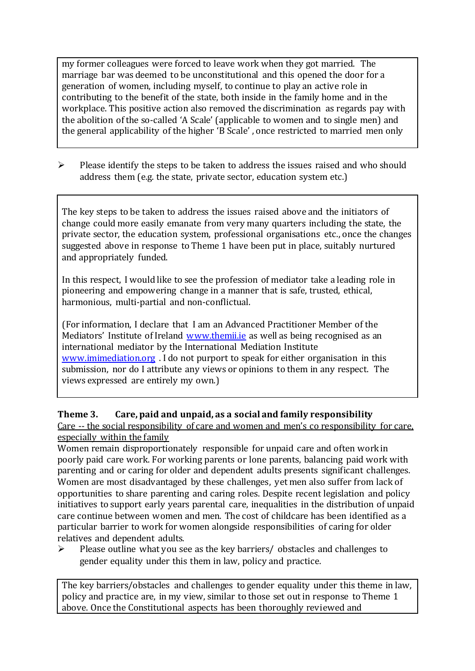my former colleagues were forced to leave work when they got married. The marriage bar was deemed to be unconstitutional and this opened the door for a generation of women, including myself, to continue to play an active role in contributing to the benefit of the state, both inside in the family home and in the workplace. This positive action also removed the discrimination as regards pay with the abolition of the so-called 'A Scale' (applicable to women and to single men) and the general applicability of the higher 'B Scale' , once restricted to married men only

 $\triangleright$  Please identify the steps to be taken to address the issues raised and who should address them (e.g. the state, private sector, education system etc.)

The key steps to be taken to address the issues raised above and the initiators of change could more easily emanate from very many quarters including the state, the private sector, the education system, professional organisations etc., once the changes suggested above in response to Theme 1 have been put in place, suitably nurtured and appropriately funded.

In this respect, I would like to see the profession of mediator take a leading role in pioneering and empowering change in a manner that is safe, trusted, ethical, harmonious, multi-partial and non-conflictual.

(For information, I declare that I am an Advanced Practitioner Member of the Mediators' Institute of Ireland [www.themii.ie](http://www.themii.ie/) as well as being recognised as an international mediator by the International Mediation Institute [www.imimediation.org](http://www.imimediation.org/) . I do not purport to speak for either organisation in this submission, nor do I attribute any views or opinions to them in any respect. The views expressed are entirely my own.)

#### **Theme 3. Care, paid and unpaid, as a social and family responsibility**

Care -- the social responsibility of care and women and men's co responsibility for care, especially within the family

Women remain disproportionately responsible for unpaid care and often work in poorly paid care work. For working parents or [lone parents,](https://aran.library.nuigalway.ie/bitstream/handle/10379/6044/Millar_and_Crosse_Activation_Report.pdf?sequence=1&isAllowed=y) balancing paid work with parenting and or caring for older and dependent adults presents significant challenges. Women are [most disadvantaged by these challenges,](https://eige.europa.eu/gender-equality-index/game/IE/W) yet men also suffer from lack of opportunities to share parenting and caring roles. Despite recent legislation and policy initiatives to support early years parental care, [inequalities in the distribution of unpaid](https://www.ihrec.ie/app/uploads/2019/07/Caring-and-Unpaid-Work-in-Ireland_Final.pdf)  [care](https://www.ihrec.ie/app/uploads/2019/07/Caring-and-Unpaid-Work-in-Ireland_Final.pdf) continue between women and men. The cost of childcare has been identified as a particular barrier to work for women alongside responsibilities of caring for older relatives and dependent adults.

 $\triangleright$  Please outline what you see as the key barriers/ obstacles and challenges to gender equality under this them in law, policy and practice.

The key barriers/obstacles and challenges to gender equality under this theme in law, policy and practice are, in my view, similar to those set out in response to Theme 1 above. Once the Constitutional aspects has been thoroughly reviewed and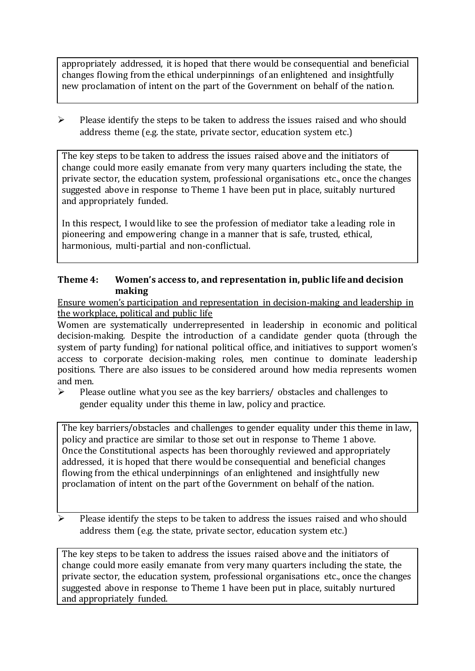appropriately addressed, it is hoped that there would be consequential and beneficial changes flowing from the ethical underpinnings of an enlightened and insightfully new proclamation of intent on the part of the Government on behalf of the nation.

 $\triangleright$  Please identify the steps to be taken to address the issues raised and who should address theme (e.g. the state, private sector, education system etc.)

The key steps to be taken to address the issues raised above and the initiators of change could more easily emanate from very many quarters including the state, the private sector, the education system, professional organisations etc., once the changes suggested above in response to Theme 1 have been put in place, suitably nurtured and appropriately funded.

In this respect, I would like to see the profession of mediator take a leading role in pioneering and empowering change in a manner that is safe, trusted, ethical, harmonious, multi-partial and non-conflictual.

#### **Theme 4: Women's access to, and representation in, public life and decision making**

Ensure women's participation and representation in decision-making and leadership in the workplace, political and public life

Women are systematically underrepresented in leadership in [economic](https://eige.europa.eu/gender-equality-index/2019/compare-countries/power/2/bar) and [political](https://eige.europa.eu/gender-equality-index/2019/compare-countries/power/1/bar)  [decision-](https://eige.europa.eu/gender-equality-index/2019/compare-countries/power/1/bar)making. Despite the introduction of a candidate gender quota (through the system of party funding) for national political office, and [initiatives](https://betterbalance.ie/) to support women's access to corporate decision-making roles, men continue to dominate leadership positions. There are also issues to be considered around how media represents women and men.

 $\triangleright$  Please outline what you see as the key barriers/ obstacles and challenges to gender equality under this theme in law, policy and practice.

The key barriers/obstacles and challenges to gender equality under this theme in law, policy and practice are similar to those set out in response to Theme 1 above. Once the Constitutional aspects has been thoroughly reviewed and appropriately addressed, it is hoped that there would be consequential and beneficial changes flowing from the ethical underpinnings of an enlightened and insightfully new proclamation of intent on the part of the Government on behalf of the nation.

 Please identify the steps to be taken to address the issues raised and who should address them (e.g. the state, private sector, education system etc.)

The key steps to be taken to address the issues raised above and the initiators of change could more easily emanate from very many quarters including the state, the private sector, the education system, professional organisations etc., once the changes suggested above in response to Theme 1 have been put in place, suitably nurtured and appropriately funded.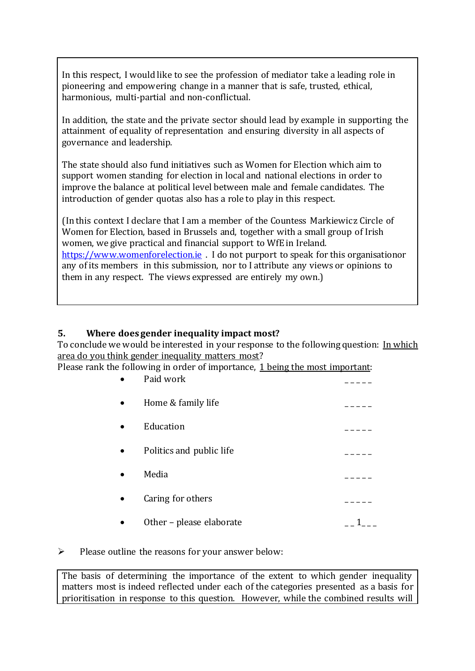In this respect, I would like to see the profession of mediator take a leading role in pioneering and empowering change in a manner that is safe, trusted, ethical, harmonious, multi-partial and non-conflictual.

In addition, the state and the private sector should lead by example in supporting the attainment of equality of representation and ensuring diversity in all aspects of governance and leadership.

The state should also fund initiatives such as Women for Election which aim to support women standing for election in local and national elections in order to improve the balance at political level between male and female candidates. The introduction of gender quotas also has a role to play in this respect.

(In this context I declare that I am a member of the Countess Markiewicz Circle of Women for Election, based in Brussels and, together with a small group of Irish women, we give practical and financial support to WfE in Ireland. [https://www.womenforelection.ie](https://www.womenforelection.ie/) . I do not purport to speak for this organisationor any of its members in this submission, nor to I attribute any views or opinions to them in any respect. The views expressed are entirely my own.)

#### **5. Where does gender inequality impact most?**

To conclude we would be interested in your response to the following question: In which area do you think gender inequality matters most?

Please rank the following in order of importance, 1 being the most important:

| Paid work                |  |
|--------------------------|--|
| Home & family life       |  |
| Education                |  |
| Politics and public life |  |
| Media                    |  |
| Caring for others        |  |
| Other - please elaborate |  |

 $\triangleright$  Please outline the reasons for your answer below:

The basis of determining the importance of the extent to which gender inequality matters most is indeed reflected under each of the categories presented as a basis for prioritisation in response to this question. However, while the combined results will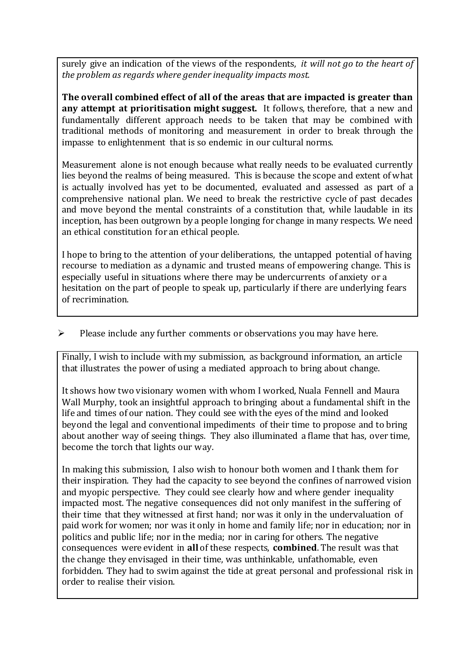surely give an indication of the views of the respondents, *it will not go to the heart of the problem as regards where gender inequality impacts most.* 

**The overall combined effect of all of the areas that are impacted is greater than any attempt at prioritisation might suggest.** It follows, therefore, that a new and fundamentally different approach needs to be taken that may be combined with traditional methods of monitoring and measurement in order to break through the impasse to enlightenment that is so endemic in our cultural norms.

Measurement alone is not enough because what really needs to be evaluated currently lies beyond the realms of being measured. This is because the scope and extent of what is actually involved has yet to be documented, evaluated and assessed as part of a comprehensive national plan. We need to break the restrictive cycle of past decades and move beyond the mental constraints of a constitution that, while laudable in its inception, has been outgrown by a people longing for change in many respects. We need an ethical constitution for an ethical people.

I hope to bring to the attention of your deliberations, the untapped potential of having recourse to mediation as a dynamic and trusted means of empowering change. This is especially useful in situations where there may be undercurrents of anxiety or a hesitation on the part of people to speak up, particularly if there are underlying fears of recrimination.

#### $\triangleright$  Please include any further comments or observations you may have here.

Finally, I wish to include with my submission, as background information, an article that illustrates the power of using a mediated approach to bring about change.

It shows how two visionary women with whom I worked, Nuala Fennell and Maura Wall Murphy, took an insightful approach to bringing about a fundamental shift in the life and times of our nation. They could see with the eyes of the mind and looked beyond the legal and conventional impediments of their time to propose and to bring about another way of seeing things. They also illuminated a flame that has, over time, become the torch that lights our way.

In making this submission, I also wish to honour both women and I thank them for their inspiration. They had the capacity to see beyond the confines of narrowed vision and myopic perspective. They could see clearly how and where gender inequality impacted most. The negative consequences did not only manifest in the suffering of their time that they witnessed at first hand; nor was it only in the undervaluation of paid work for women; nor was it only in home and family life; nor in education; nor in politics and public life; nor in the media; nor in caring for others. The negative consequences were evident in **all** of these respects, **combined**. The result was that the change they envisaged in their time, was unthinkable, unfathomable, even forbidden. They had to swim against the tide at great personal and professional risk in order to realise their vision.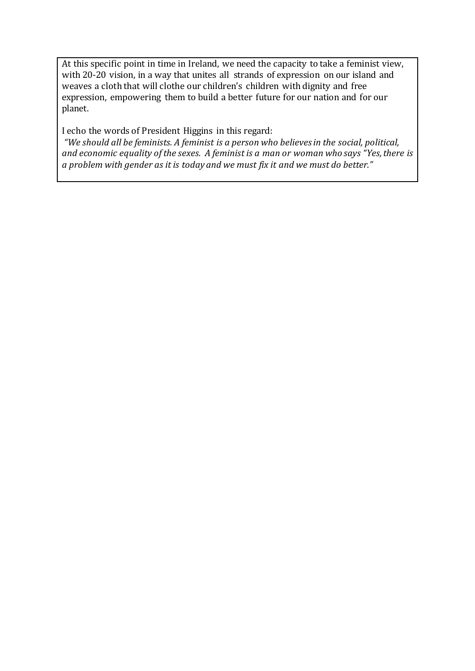At this specific point in time in Ireland, we need the capacity to take a feminist view, with 20-20 vision, in a way that unites all strands of expression on our island and weaves a cloth that will clothe our children's children with dignity and free expression, empowering them to build a better future for our nation and for our planet.

I echo the words of President Higgins in this regard:

*"We should all be feminists. A feminist is a person who believes in the social, political, and economic equality of the sexes. A feminist is a man or woman who says "Yes, there is a problem with gender as it is today and we must fix it and we must do better."*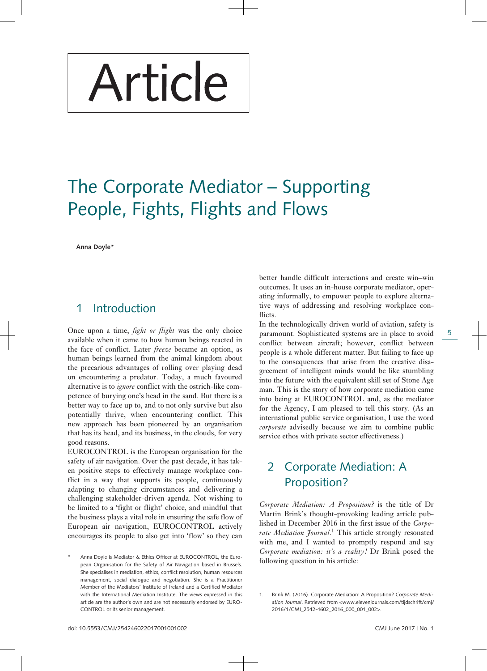# Article

## The Corporate Mediator – Supporting People, Fights, Flights and Flows

**Anna Doyle\***

#### 1 Introduction

Once upon a time, *fight or flight* was the only choice available when it came to how human beings reacted in the face of conflict. Later *freeze* became an option, as human beings learned from the animal kingdom about the precarious advantages of rolling over playing dead on encountering a predator. Today, a much favoured alternative is to *ignore* conflict with the ostrich-like competence of burying one's head in the sand. But there is a better way to face up to, and to not only survive but also potentially thrive, when encountering conflict. This new approach has been pioneered by an organisation that has its head, and its business, in the clouds, for very good reasons.

EUROCONTROL is the European organisation for the safety of air navigation. Over the past decade, it has taken positive steps to effectively manage workplace conflict in a way that supports its people, continuously adapting to changing circumstances and delivering a challenging stakeholder-driven agenda. Not wishing to be limited to a 'fight or flight' choice, and mindful that the business plays a vital role in ensuring the safe flow of European air navigation, EUROCONTROL actively encourages its people to also get into 'flow' so they can

Anna Doyle is Mediator & Ethics Officer at EUROCONTROL, the European Organisation for the Safety of Air Navigation based in Brussels. She specialises in mediation, ethics, conflict resolution, human resources management, social dialogue and negotiation. She is a Practitioner Member of the Mediators' Institute of Ireland and a Certified Mediator with the International Mediation Institute. The views expressed in this article are the author's own and are not necessarily endorsed by EURO-CONTROL or its senior management.

better handle difficult interactions and create win–win outcomes. It uses an in-house corporate mediator, operating informally, to empower people to explore alternative ways of addressing and resolving workplace conflicts.

In the technologically driven world of aviation, safety is paramount. Sophisticated systems are in place to avoid conflict between aircraft; however, conflict between people is a whole different matter. But failing to face up to the consequences that arise from the creative disagreement of intelligent minds would be like stumbling into the future with the equivalent skill set of Stone Age man. This is the story of how corporate mediation came into being at EUROCONTROL and, as the mediator for the Agency, I am pleased to tell this story. (As an international public service organisation, I use the word *corporate* advisedly because we aim to combine public service ethos with private sector effectiveness.)

## 2 Corporate Mediation: A Proposition?

*Corporate Mediation: A Proposition?* is the title of Dr Martin Brink's thought-provoking leading article published in December 2016 in the first issue of the *Corporate Mediation Journal*. 1 This article strongly resonated with me, and I wanted to promptly respond and say *Corporate mediation: it's a reality!* Dr Brink posed the following question in his article:

5

Brink M. (2016). Corporate Mediation: A Proposition? Corporate Mediation Journal. Retrieved from <www.elevenjournals.com/tijdschrift/cmj/ 2016/1/CMJ\_2542-4602\_2016\_000\_001\_002>.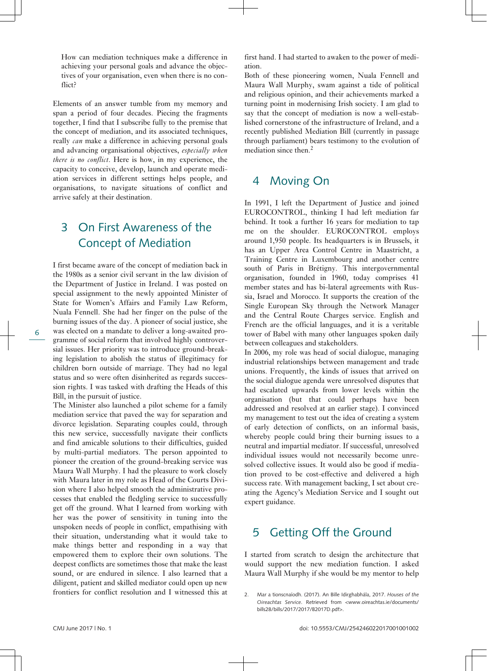How can mediation techniques make a difference in achieving your personal goals and advance the objectives of your organisation, even when there is no conflict?

Elements of an answer tumble from my memory and span a period of four decades. Piecing the fragments together, I find that I subscribe fully to the premise that the concept of mediation, and its associated techniques, really *can* make a difference in achieving personal goals and advancing organisational objectives, *especially when there is no conflict*. Here is how, in my experience, the capacity to conceive, develop, launch and operate mediation services in different settings helps people, and organisations, to navigate situations of conflict and arrive safely at their destination.

#### 3 On First Awareness of the Concept of Mediation

I first became aware of the concept of mediation back in the 1980s as a senior civil servant in the law division of the Department of Justice in Ireland. I was posted on special assignment to the newly appointed Minister of State for Women's Affairs and Family Law Reform, Nuala Fennell. She had her finger on the pulse of the burning issues of the day. A pioneer of social justice, she was elected on a mandate to deliver a long-awaited programme of social reform that involved highly controversial issues. Her priority was to introduce ground-breaking legislation to abolish the status of illegitimacy for children born outside of marriage. They had no legal status and so were often disinherited as regards succession rights. I was tasked with drafting the Heads of this Bill, in the pursuit of justice.

The Minister also launched a pilot scheme for a family mediation service that paved the way for separation and divorce legislation. Separating couples could, through this new service, successfully navigate their conflicts and find amicable solutions to their difficulties, guided by multi-partial mediators. The person appointed to pioneer the creation of the ground-breaking service was Maura Wall Murphy. I had the pleasure to work closely with Maura later in my role as Head of the Courts Division where I also helped smooth the administrative processes that enabled the fledgling service to successfully get off the ground. What I learned from working with her was the power of sensitivity in tuning into the unspoken needs of people in conflict, empathising with their situation, understanding what it would take to make things better and responding in a way that empowered them to explore their own solutions. The deepest conflicts are sometimes those that make the least sound, or are endured in silence. I also learned that a diligent, patient and skilled mediator could open up new frontiers for conflict resolution and I witnessed this at

first hand. I had started to awaken to the power of mediation.

Both of these pioneering women, Nuala Fennell and Maura Wall Murphy, swam against a tide of political and religious opinion, and their achievements marked a turning point in modernising Irish society. I am glad to say that the concept of mediation is now a well-established cornerstone of the infrastructure of Ireland, and a recently published Mediation Bill (currently in passage through parliament) bears testimony to the evolution of mediation since then.<sup>2</sup>

#### 4 Moving On

In 1991, I left the Department of Justice and joined EUROCONTROL, thinking I had left mediation far behind. It took a further 16 years for mediation to tap me on the shoulder. EUROCONTROL employs around 1,950 people. Its headquarters is in Brussels, it has an Upper Area Control Centre in Maastricht, a Training Centre in Luxembourg and another centre south of Paris in Brétigny. This intergovernmental organisation, founded in 1960, today comprises 41 member states and has bi-lateral agreements with Russia, Israel and Morocco. It supports the creation of the Single European Sky through the Network Manager and the Central Route Charges service. English and French are the official languages, and it is a veritable tower of Babel with many other languages spoken daily between colleagues and stakeholders.

In 2006, my role was head of social dialogue, managing industrial relationships between management and trade unions. Frequently, the kinds of issues that arrived on the social dialogue agenda were unresolved disputes that had escalated upwards from lower levels within the organisation (but that could perhaps have been addressed and resolved at an earlier stage). I convinced my management to test out the idea of creating a system of early detection of conflicts, on an informal basis, whereby people could bring their burning issues to a neutral and impartial mediator. If successful, unresolved individual issues would not necessarily become unresolved collective issues. It would also be good if mediation proved to be cost-effective and delivered a high success rate. With management backing, I set about creating the Agency's Mediation Service and I sought out expert guidance.

### 5 Getting Off the Ground

I started from scratch to design the architecture that would support the new mediation function. I asked Maura Wall Murphy if she would be my mentor to help

<sup>2.</sup> Mar a tionscnaíodh. (2017). An Bille Idirghabhála, 2017. *Houses of the Oireachtas Service*. Retrieved from [<www. oireachtas. ie/ documents/](http://www.oireachtas.ie/documents/bills28/bills/2017/2017/B2017D.pdf) bills28/ bills / 2017/ 2017/ B2017 D.pdf>.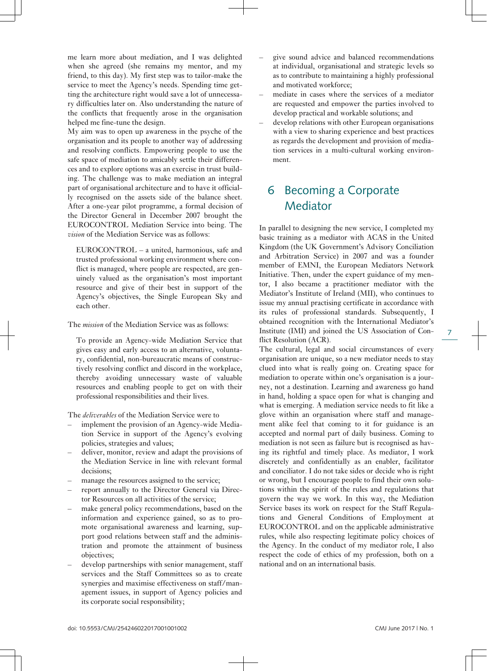me learn more about mediation, and I was delighted when she agreed (she remains my mentor, and my friend, to this day). My first step was to tailor-make the service to meet the Agency's needs. Spending time getting the architecture right would save a lot of unnecessary difficulties later on. Also understanding the nature of the conflicts that frequently arose in the organisation helped me fine-tune the design.

My aim was to open up awareness in the psyche of the organisation and its people to another way of addressing and resolving conflicts. Empowering people to use the safe space of mediation to amicably settle their differences and to explore options was an exercise in trust building. The challenge was to make mediation an integral part of organisational architecture and to have it officially recognised on the assets side of the balance sheet. After a one-year pilot programme, a formal decision of the Director General in December 2007 brought the EUROCONTROL Mediation Service into being. The *vision* of the Mediation Service was as follows:

EUROCONTROL – a united, harmonious, safe and trusted professional working environment where conflict is managed, where people are respected, are genuinely valued as the organisation's most important resource and give of their best in support of the Agency's objectives, the Single European Sky and each other.

The *mission* of the Mediation Service was as follows:

To provide an Agency-wide Mediation Service that gives easy and early access to an alternative, voluntary, confidential, non-bureaucratic means of constructively resolving conflict and discord in the workplace, thereby avoiding unnecessary waste of valuable resources and enabling people to get on with their professional responsibilities and their lives.

The *deliverables* of the Mediation Service were to

- implement the provision of an Agency-wide Mediation Service in support of the Agency's evolving policies, strategies and values;
- deliver, monitor, review and adapt the provisions of the Mediation Service in line with relevant formal decisions;
- manage the resources assigned to the service;
- report annually to the Director General via Director Resources on all activities of the service;
- make general policy recommendations, based on the information and experience gained, so as to promote organisational awareness and learning, support good relations between staff and the administration and promote the attainment of business objectives;
- develop partnerships with senior management, staff services and the Staff Committees so as to create synergies and maximise effectiveness on staff/management issues, in support of Agency policies and its corporate social responsibility;
- give sound advice and balanced recommendations at individual, organisational and strategic levels so as to contribute to maintaining a highly professional and motivated workforce;
- mediate in cases where the services of a mediator are requested and empower the parties involved to develop practical and workable solutions; and
- develop relations with other European organisations with a view to sharing experience and best practices as regards the development and provision of mediation services in a multi-cultural working environment.

#### 6 Becoming a Corporate Mediator

In parallel to designing the new service, I completed my basic training as a mediator with ACAS in the United Kingdom (the UK Government's Advisory Conciliation and Arbitration Service) in 2007 and was a founder member of EMNI, the European Mediators Network Initiative. Then, under the expert guidance of my mentor, I also became a practitioner mediator with the Mediator's Institute of Ireland (MII), who continues to issue my annual practising certificate in accordance with its rules of professional standards. Subsequently, I obtained recognition with the International Mediator's Institute (IMI) and joined the US Association of Conflict Resolution (ACR).

The cultural, legal and social circumstances of every organisation are unique, so a new mediator needs to stay clued into what is really going on. Creating space for mediation to operate within one's organisation is a journey, not a destination. Learning and awareness go hand in hand, holding a space open for what is changing and what is emerging. A mediation service needs to fit like a glove within an organisation where staff and management alike feel that coming to it for guidance is an accepted and normal part of daily business. Coming to mediation is not seen as failure but is recognised as having its rightful and timely place. As mediator, I work discretely and confidentially as an enabler, facilitator and conciliator. I do not take sides or decide who is right or wrong, but I encourage people to find their own solutions within the spirit of the rules and regulations that govern the way we work. In this way, the Mediation Service bases its work on respect for the Staff Regulations and General Conditions of Employment at EUROCONTROL and on the applicable administrative rules, while also respecting legitimate policy choices of the Agency. In the conduct of my mediator role, I also respect the code of ethics of my profession, both on a national and on an international basis.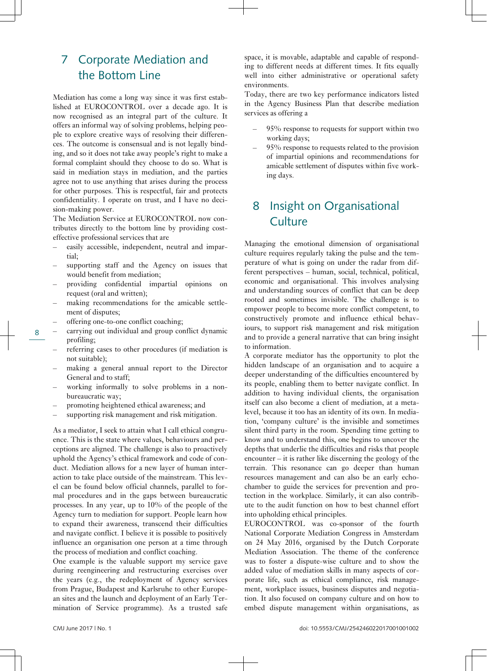## 7 Corporate Mediation and the Bottom Line

Mediation has come a long way since it was first established at EUROCONTROL over a decade ago. It is now recognised as an integral part of the culture. It offers an informal way of solving problems, helping people to explore creative ways of resolving their differences. The outcome is consensual and is not legally binding, and so it does not take away people's right to make a formal complaint should they choose to do so. What is said in mediation stays in mediation, and the parties agree not to use anything that arises during the process for other purposes. This is respectful, fair and protects confidentiality. I operate on trust, and I have no decision-making power.

The Mediation Service at EUROCONTROL now contributes directly to the bottom line by providing costeffective professional services that are

- easily accessible, independent, neutral and impartial;
- supporting staff and the Agency on issues that would benefit from mediation;
- providing confidential impartial opinions on request (oral and written);
- making recommendations for the amicable settlement of disputes;
- offering one-to-one conflict coaching;

8

- carrying out individual and group conflict dynamic profiling;
- referring cases to other procedures (if mediation is not suitable);
- making a general annual report to the Director General and to staff;
- working informally to solve problems in a nonbureaucratic way;
- promoting heightened ethical awareness; and
- supporting risk management and risk mitigation.

As a mediator, I seek to attain what I call ethical congruence. This is the state where values, behaviours and perceptions are aligned. The challenge is also to proactively uphold the Agency's ethical framework and code of conduct. Mediation allows for a new layer of human interaction to take place outside of the mainstream. This level can be found below official channels, parallel to formal procedures and in the gaps between bureaucratic processes. In any year, up to 10% of the people of the Agency turn to mediation for support. People learn how to expand their awareness, transcend their difficulties and navigate conflict. I believe it is possible to positively influence an organisation one person at a time through the process of mediation and conflict coaching.

One example is the valuable support my service gave during reengineering and restructuring exercises over the years (e.g., the redeployment of Agency services from Prague, Budapest and Karlsruhe to other European sites and the launch and deployment of an Early Termination of Service programme). As a trusted safe space, it is movable, adaptable and capable of responding to different needs at different times. It fits equally well into either administrative or operational safety environments.

Today, there are two key performance indicators listed in the Agency Business Plan that describe mediation services as offering a

- 95% response to requests for support within two working days;
- 95% response to requests related to the provision of impartial opinions and recommendations for amicable settlement of disputes within five working days.

## 8 Insight on Organisational **Culture**

Managing the emotional dimension of organisational culture requires regularly taking the pulse and the temperature of what is going on under the radar from different perspectives – human, social, technical, political, economic and organisational. This involves analysing and understanding sources of conflict that can be deep rooted and sometimes invisible. The challenge is to empower people to become more conflict competent, to constructively promote and influence ethical behaviours, to support risk management and risk mitigation and to provide a general narrative that can bring insight to information.

A corporate mediator has the opportunity to plot the hidden landscape of an organisation and to acquire a deeper understanding of the difficulties encountered by its people, enabling them to better navigate conflict. In addition to having individual clients, the organisation itself can also become a client of mediation, at a metalevel, because it too has an identity of its own. In mediation, 'company culture' is the invisible and sometimes silent third party in the room. Spending time getting to know and to understand this, one begins to uncover the depths that underlie the difficulties and risks that people encounter – it is rather like discerning the geology of the terrain. This resonance can go deeper than human resources management and can also be an early echochamber to guide the services for prevention and protection in the workplace. Similarly, it can also contribute to the audit function on how to best channel effort into upholding ethical principles.

EUROCONTROL was co-sponsor of the fourth National Corporate Mediation Congress in Amsterdam on 24 May 2016, organised by the Dutch Corporate Mediation Association. The theme of the conference was to foster a dispute-wise culture and to show the added value of mediation skills in many aspects of corporate life, such as ethical compliance, risk management, workplace issues, business disputes and negotiation. It also focused on company culture and on how to embed dispute management within organisations, as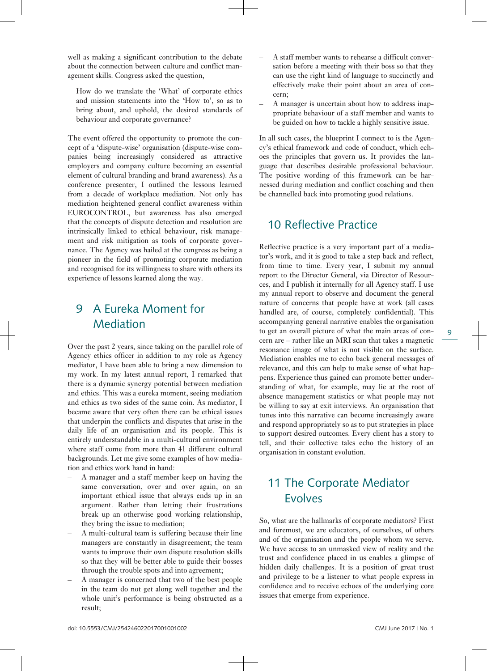well as making a significant contribution to the debate about the connection between culture and conflict management skills. Congress asked the question,

How do we translate the 'What' of corporate ethics and mission statements into the 'How to', so as to bring about, and uphold, the desired standards of behaviour and corporate governance?

The event offered the opportunity to promote the concept of a 'dispute-wise' organisation (dispute-wise companies being increasingly considered as attractive employers and company culture becoming an essential element of cultural branding and brand awareness). As a conference presenter, I outlined the lessons learned from a decade of workplace mediation. Not only has mediation heightened general conflict awareness within EUROCONTROL, but awareness has also emerged that the concepts of dispute detection and resolution are intrinsically linked to ethical behaviour, risk management and risk mitigation as tools of corporate governance. The Agency was hailed at the congress as being a pioneer in the field of promoting corporate mediation and recognised for its willingness to share with others its experience of lessons learned along the way.

## 9 A Eureka Moment for Mediation

Over the past 2 years, since taking on the parallel role of Agency ethics officer in addition to my role as Agency mediator, I have been able to bring a new dimension to my work. In my latest annual report, I remarked that there is a dynamic synergy potential between mediation and ethics. This was a eureka moment, seeing mediation and ethics as two sides of the same coin. As mediator, I became aware that very often there can be ethical issues that underpin the conflicts and disputes that arise in the daily life of an organisation and its people. This is entirely understandable in a multi-cultural environment where staff come from more than 41 different cultural backgrounds. Let me give some examples of how mediation and ethics work hand in hand:

- A manager and a staff member keep on having the same conversation, over and over again, on an important ethical issue that always ends up in an argument. Rather than letting their frustrations break up an otherwise good working relationship, they bring the issue to mediation;
- A multi-cultural team is suffering because their line managers are constantly in disagreement; the team wants to improve their own dispute resolution skills so that they will be better able to guide their bosses through the trouble spots and into agreement;
- A manager is concerned that two of the best people in the team do not get along well together and the whole unit's performance is being obstructed as a result;
- A staff member wants to rehearse a difficult conversation before a meeting with their boss so that they can use the right kind of language to succinctly and effectively make their point about an area of concern;
- A manager is uncertain about how to address inappropriate behaviour of a staff member and wants to be guided on how to tackle a highly sensitive issue.

In all such cases, the blueprint I connect to is the Agency's ethical framework and code of conduct, which echoes the principles that govern us. It provides the language that describes desirable professional behaviour. The positive wording of this framework can be harnessed during mediation and conflict coaching and then be channelled back into promoting good relations.

#### 10 Reflective Practice

Reflective practice is a very important part of a mediator's work, and it is good to take a step back and reflect, from time to time. Every year, I submit my annual report to the Director General, via Director of Resources, and I publish it internally for all Agency staff. I use my annual report to observe and document the general nature of concerns that people have at work (all cases handled are, of course, completely confidential). This accompanying general narrative enables the organisation to get an overall picture of what the main areas of concern are – rather like an MRI scan that takes a magnetic resonance image of what is not visible on the surface. Mediation enables me to echo back general messages of relevance, and this can help to make sense of what happens. Experience thus gained can promote better understanding of what, for example, may lie at the root of absence management statistics or what people may not be willing to say at exit interviews. An organisation that tunes into this narrative can become increasingly aware and respond appropriately so as to put strategies in place to support desired outcomes. Every client has a story to tell, and their collective tales echo the history of an organisation in constant evolution.

## 11 The Corporate Mediator **Evolves**

So, what are the hallmarks of corporate mediators? First and foremost, we are educators, of ourselves, of others and of the organisation and the people whom we serve. We have access to an unmasked view of reality and the trust and confidence placed in us enables a glimpse of hidden daily challenges. It is a position of great trust and privilege to be a listener to what people express in confidence and to receive echoes of the underlying core issues that emerge from experience.